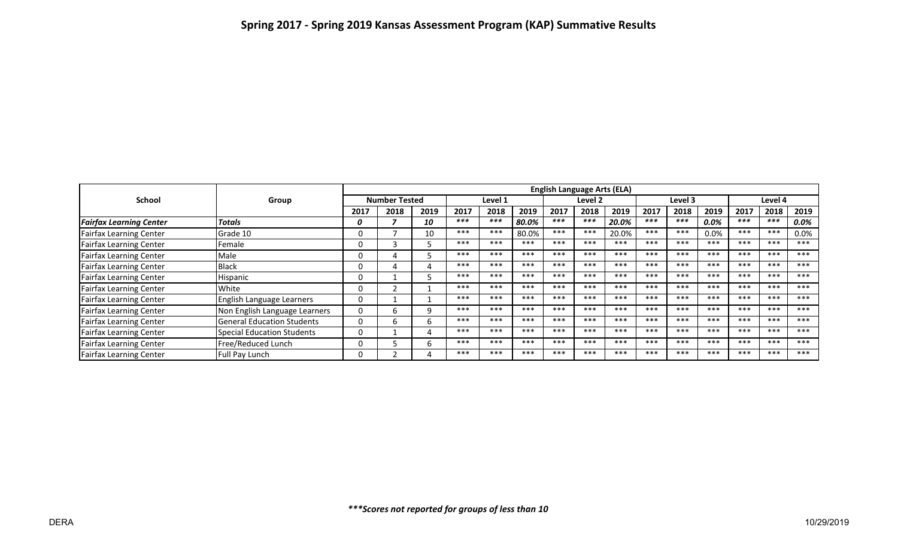|                                | Group                             | <b>English Language Arts (ELA)</b> |      |      |         |       |       |         |       |       |         |       |         |         |       |       |
|--------------------------------|-----------------------------------|------------------------------------|------|------|---------|-------|-------|---------|-------|-------|---------|-------|---------|---------|-------|-------|
| <b>School</b>                  |                                   | <b>Number Tested</b>               |      |      | Level 1 |       |       | Level 2 |       |       | Level 3 |       |         | Level 4 |       |       |
|                                |                                   | 2017                               | 2018 | 2019 | 2017    | 2018  | 2019  | 2017    | 2018  | 2019  | 2017    | 2018  | 2019    | 2017    | 2018  | 2019  |
| <b>Fairfax Learning Center</b> | <b>Totals</b>                     | 0                                  |      | 10   | $***$   | $***$ | 80.0% | $***$   | $***$ | 20.0% | $***$   | $***$ | $0.0\%$ | $***$   | $***$ | 0.0%  |
| <b>Fairfax Learning Center</b> | Grade 10                          |                                    |      | 10   | ***     | ***   | 80.0% | ***     | ***   | 20.0% | $***$   | ***   | 0.0%    | ***     | ***   | 0.0%  |
| Fairfax Learning Center        | Female                            |                                    |      |      | ***     | ***   | ***   | ***     | ***   | ***   | ***     | $***$ | ***     | $***$   | ***   | ***   |
| Fairfax Learning Center        | <b>Male</b>                       |                                    |      |      | ***     | ***   | ***   | $***$   | $***$ | $***$ | ***     | ***   | ***     | $***$   | ***   | ***   |
| <b>Fairfax Learning Center</b> | <b>Black</b>                      |                                    |      |      | ***     | ***   | ***   | $***$   | ***   | ***   | ***     | $***$ | ***     | ***     | ***   | ***   |
| Fairfax Learning Center        | Hispanic                          |                                    |      |      | ***     | ***   | ***   | $***$   | ***   | ***   | ***     | ***   | ***     | $***$   | ***   | ***   |
| Fairfax Learning Center        | <b>I</b> White                    |                                    |      |      | ***     | ***   | ***   | $***$   | $***$ | ***   | ***     | $***$ | ***     | $***$   | ***   | $***$ |
| <b>Fairfax Learning Center</b> | English Language Learners         |                                    |      |      | ***     | ***   | ***   | $***$   | $***$ | $***$ | $***$   | $***$ | ***     | $***$   | ***   | ***   |
| Fairfax Learning Center        | Non English Language Learners     |                                    |      | q    | $***$   | ***   | $***$ | $***$   | $***$ | $***$ | $***$   | $***$ | ***     | $***$   | ***   | $***$ |
| <b>Fairfax Learning Center</b> | <b>General Education Students</b> | 0                                  | h    | b.   | ***     | ***   | ***   | ***     | ***   | ***   | $***$   | ***   | ***     | $***$   | ***   | ***   |
| Fairfax Learning Center        | Special Education Students        |                                    |      | 4    | ***     | ***   | ***   | $***$   | ***   | ***   | ***     | $***$ | ***     | ***     | ***   | ***   |
| Fairfax Learning Center        | Free/Reduced Lunch                |                                    |      | h.   | ***     | ***   | ***   | $***$   | ***   | ***   | $***$   | ***   | ***     | $***$   | ***   | ***   |
| <b>Fairfax Learning Center</b> | Full Pay Lunch                    |                                    |      |      | ***     | $***$ | ***   | ***     | ***   | ***   | ***     | ***   | ***     | ***     | ***   | ***   |